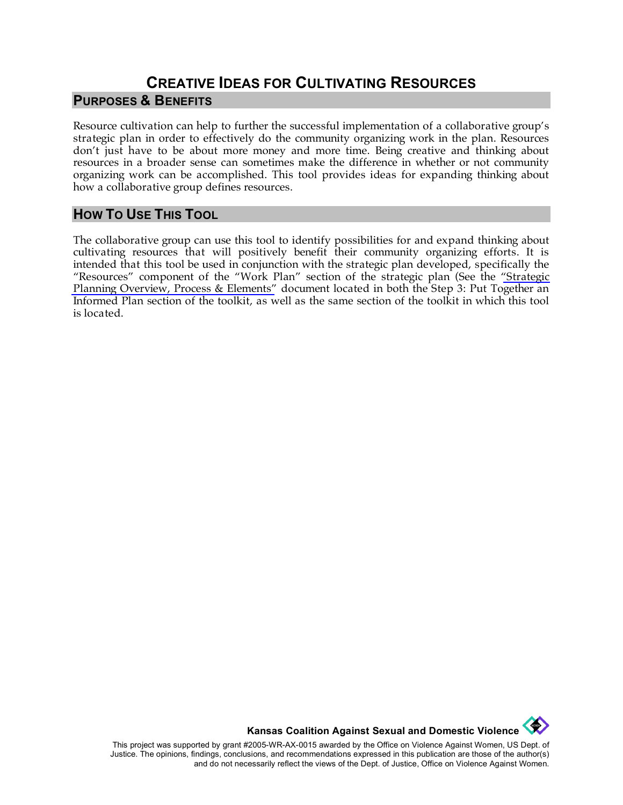## **CREATIVE IDEAS FOR CULTIVATING RESOURCES PURPOSES & BENEFITS**

Resource cultivation can help to further the successful implementation of a collaborative group's strategic plan in order to effectively do the community organizing work in the plan. Resources don't just have to be about more money and more time. Being creative and thinking about resources in a broader sense can sometimes make the difference in whether or not community organizing work can be accomplished. This tool provides ideas for expanding thinking about how a collaborative group defines resources.

## **HOW TO USE THIS TOOL**

The collaborative group can use this tool to identify possibilities for and expand thinking about cultivating resources that will positively benefit their community organizing efforts. It is intended that this tool be used in conjunction with the strategic plan developed, specifically the "Resources" component of the "Work Plan" section of the strategic plan (See the ["Strategic](http://www.kcsdv.org/toolkit/commorgtoolkit.html#Planning2)  [Planning Overview, Process & Elements"](http://www.kcsdv.org/toolkit/commorgtoolkit.html#Planning2) document located in both the Step 3: Put Together an Informed Plan section of the toolkit, as well as the same section of the toolkit in which this tool is located.

**Kansas Coalition Against Sexual and Domestic Violence** 

This project was supported by grant #2005-WR-AX-0015 awarded by the Office on Violence Against Women, US Dept. of Justice. The opinions, findings, conclusions, and recommendations expressed in this publication are those of the author(s) and do not necessarily reflect the views of the Dept. of Justice, Office on Violence Against Women.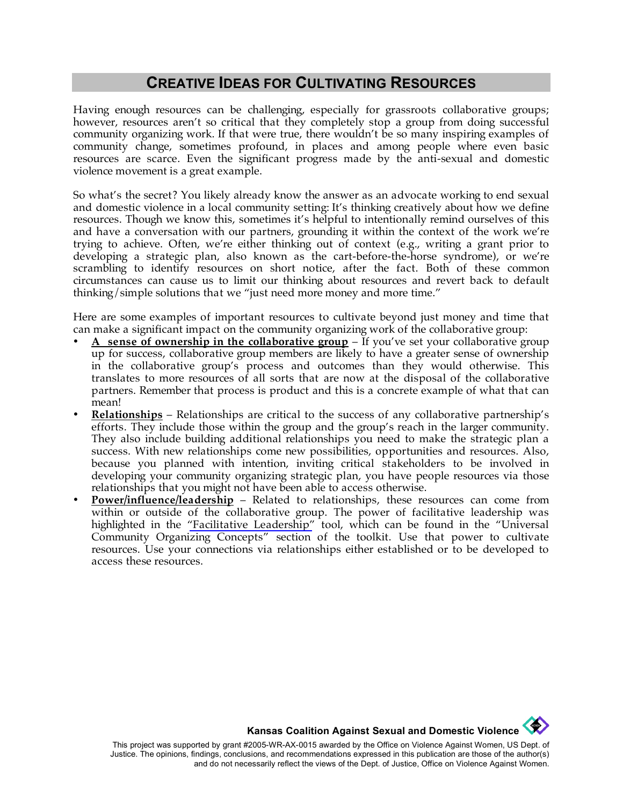## **CREATIVE IDEAS FOR CULTIVATING RESOURCES**

Having enough resources can be challenging, especially for grassroots collaborative groups; however, resources aren't so critical that they completely stop a group from doing successful community organizing work. If that were true, there wouldn't be so many inspiring examples of community change, sometimes profound, in places and among people where even basic resources are scarce. Even the significant progress made by the anti-sexual and domestic violence movement is a great example.

So what's the secret? You likely already know the answer as an advocate working to end sexual and domestic violence in a local community setting: It's thinking creatively about how we define resources. Though we know this, sometimes it's helpful to intentionally remind ourselves of this and have a conversation with our partners, grounding it within the context of the work we're trying to achieve. Often, we're either thinking out of context (e.g., writing a grant prior to developing a strategic plan, also known as the cart-before-the-horse syndrome), or we're scrambling to identify resources on short notice, after the fact. Both of these common circumstances can cause us to limit our thinking about resources and revert back to default thinking/simple solutions that we "just need more money and more time."

Here are some examples of important resources to cultivate beyond just money and time that can make a significant impact on the community organizing work of the collaborative group:

- **A sense of ownership in the collaborative group** If you've set your collaborative group up for success, collaborative group members are likely to have a greater sense of ownership in the collaborative group's process and outcomes than they would otherwise. This translates to more resources of all sorts that are now at the disposal of the collaborative partners. Remember that process is product and this is a concrete example of what that can mean!
- **Relationships** Relationships are critical to the success of any collaborative partnership's efforts. They include those within the group and the group's reach in the larger community. They also include building additional relationships you need to make the strategic plan a success. With new relationships come new possibilities, opportunities and resources. Also, because you planned with intention, inviting critical stakeholders to be involved in developing your community organizing strategic plan, you have people resources via those relationships that you might not have been able to access otherwise.
- **Power/influence/leadership** Related to relationships, these resources can come from within or outside of the collaborative group. The power of facilitative leadership was highlighted in the ["Facilitative Leadership"](http://www.kcsdv.org/toolkit/commorgtoolkit.html#FacilitativeLeadership) tool, which can be found in the "Universal Community Organizing Concepts" section of the toolkit. Use that power to cultivate resources. Use your connections via relationships either established or to be developed to access these resources.

**Kansas Coalition Against Sexual and Domestic Violence**